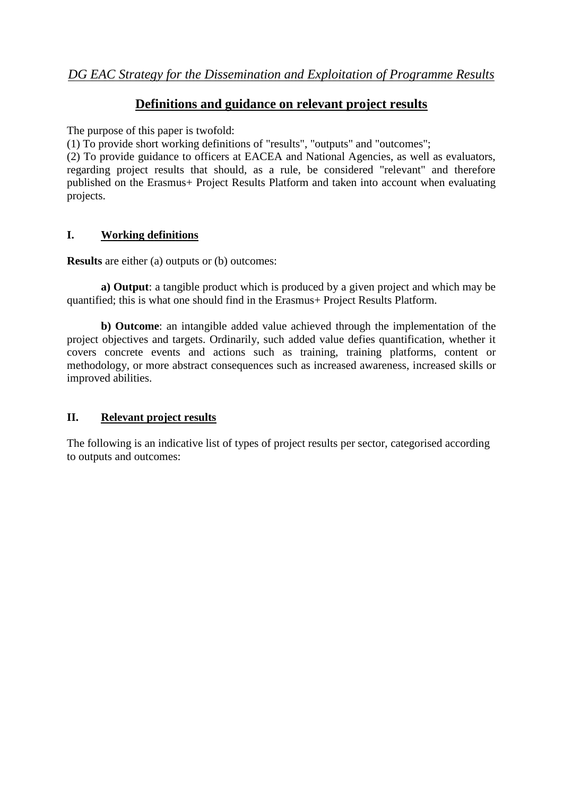## **Definitions and guidance on relevant project results**

The purpose of this paper is twofold:

(1) To provide short working definitions of "results", "outputs" and "outcomes";

(2) To provide guidance to officers at EACEA and National Agencies, as well as evaluators, regarding project results that should, as a rule, be considered "relevant" and therefore published on the Erasmus+ Project Results Platform and taken into account when evaluating projects.

## **I. Working definitions**

**Results** are either (a) outputs or (b) outcomes:

**a) Output**: a tangible product which is produced by a given project and which may be quantified; this is what one should find in the Erasmus+ Project Results Platform.

**b) Outcome**: an intangible added value achieved through the implementation of the project objectives and targets. Ordinarily, such added value defies quantification, whether it covers concrete events and actions such as training, training platforms, content or methodology, or more abstract consequences such as increased awareness, increased skills or improved abilities.

## **II. Relevant project results**

The following is an indicative list of types of project results per sector, categorised according to outputs and outcomes: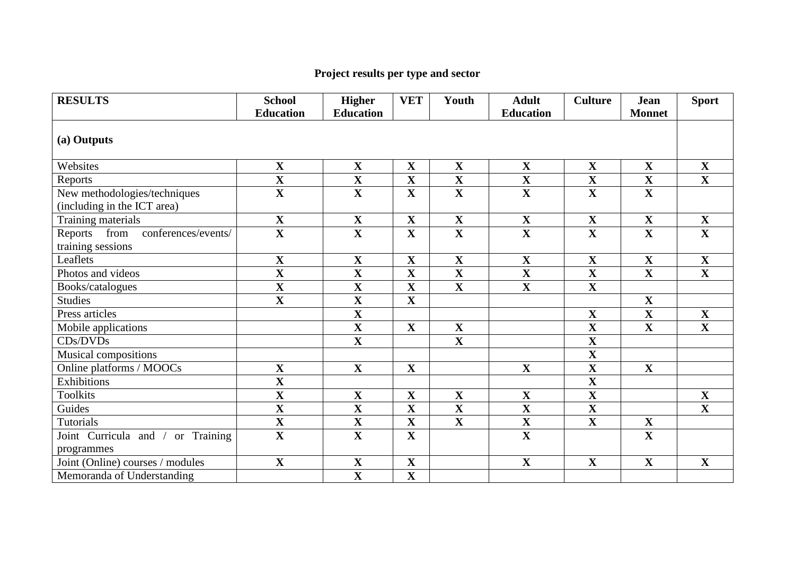## **Project results per type and sector**

| <b>RESULTS</b>                         | <b>School</b><br><b>Education</b> | <b>Higher</b><br><b>Education</b> | <b>VET</b>              | Youth                   | <b>Adult</b><br><b>Education</b> | <b>Culture</b>          | <b>Jean</b><br><b>Monnet</b> | <b>Sport</b>            |  |  |
|----------------------------------------|-----------------------------------|-----------------------------------|-------------------------|-------------------------|----------------------------------|-------------------------|------------------------------|-------------------------|--|--|
| (a) Outputs                            |                                   |                                   |                         |                         |                                  |                         |                              |                         |  |  |
| Websites                               | $\mathbf X$                       | $\mathbf X$                       | $\mathbf X$             | $\mathbf X$             | $\mathbf X$                      | $\mathbf X$             | $\mathbf X$                  | $\mathbf X$             |  |  |
| Reports                                | $\overline{\mathbf{X}}$           | $\overline{\mathbf{X}}$           | $\overline{\mathbf{X}}$ | $\overline{\mathbf{X}}$ | $\overline{\mathbf{X}}$          | $\overline{\mathbf{X}}$ | $\overline{\mathbf{X}}$      | $\overline{\mathbf{X}}$ |  |  |
| New methodologies/techniques           | $\overline{\mathbf{X}}$           | $\mathbf X$                       | $\mathbf X$             | $\mathbf X$             | $\mathbf X$                      | $\mathbf X$             | $\mathbf{X}$                 |                         |  |  |
| (including in the ICT area)            |                                   |                                   |                         |                         |                                  |                         |                              |                         |  |  |
| Training materials                     | $\mathbf{X}$                      | $\mathbf{X}$                      | $\mathbf X$             | $\mathbf X$             | $\mathbf X$                      | $\mathbf X$             | $\mathbf{X}$                 | $\mathbf X$             |  |  |
| conferences/events/<br>Reports<br>from | $\overline{\mathbf{X}}$           | $\overline{\mathbf{X}}$           | $\overline{\mathbf{X}}$ | $\overline{\mathbf{X}}$ | $\overline{\mathbf{X}}$          | $\overline{\mathbf{X}}$ | $\overline{\mathbf{X}}$      | $\overline{\mathbf{X}}$ |  |  |
| training sessions                      |                                   |                                   |                         |                         |                                  |                         |                              |                         |  |  |
| Leaflets                               | $\mathbf X$                       | $\mathbf X$                       | $\mathbf X$             | $\mathbf X$             | $\mathbf X$                      | $\mathbf X$             | $\mathbf X$                  | $\mathbf X$             |  |  |
| Photos and videos                      | $\overline{\mathbf{X}}$           | $\overline{\mathbf{X}}$           | $\overline{\mathbf{X}}$ | $\overline{\mathbf{X}}$ | $\overline{\mathbf{X}}$          | $\overline{\mathbf{X}}$ | $\overline{\mathbf{X}}$      | $\overline{\mathbf{X}}$ |  |  |
| Books/catalogues                       | $\mathbf X$                       | $\mathbf X$                       | $\mathbf X$             | $\mathbf X$             | $\mathbf X$                      | $\mathbf{X}$            |                              |                         |  |  |
| <b>Studies</b>                         | $\overline{\mathbf{X}}$           | $\overline{\mathbf{X}}$           | $\overline{\mathbf{X}}$ |                         |                                  |                         | $\mathbf X$                  |                         |  |  |
| Press articles                         |                                   | $\mathbf X$                       |                         |                         |                                  | $\mathbf X$             | $\mathbf X$                  | $\mathbf X$             |  |  |
| Mobile applications                    |                                   | $\overline{\mathbf{X}}$           | $\mathbf X$             | $\mathbf X$             |                                  | $\overline{\mathbf{X}}$ | $\overline{\mathbf{X}}$      | $\overline{\mathbf{X}}$ |  |  |
| CDs/DVDs                               |                                   | $\mathbf X$                       |                         | $\mathbf X$             |                                  | $\mathbf X$             |                              |                         |  |  |
| Musical compositions                   |                                   |                                   |                         |                         |                                  | $\overline{\mathbf{X}}$ |                              |                         |  |  |
| Online platforms / MOOCs               | $\overline{\mathbf{X}}$           | $\mathbf{X}$                      | $\mathbf X$             |                         | $\mathbf X$                      | $\overline{\mathbf{X}}$ | $\mathbf{X}$                 |                         |  |  |
| Exhibitions                            | $\mathbf{X}$                      |                                   |                         |                         |                                  | $\mathbf X$             |                              |                         |  |  |
| <b>Toolkits</b>                        | $\overline{\mathbf{X}}$           | $\mathbf X$                       | $\mathbf X$             | $\mathbf X$             | $\mathbf X$                      | $\overline{\mathbf{X}}$ |                              | $\mathbf X$             |  |  |
| Guides                                 | $\overline{\mathbf{X}}$           | $\mathbf X$                       | $\mathbf{X}$            | $\mathbf X$             | $\mathbf X$                      | $\mathbf X$             |                              | $\overline{\mathbf{X}}$ |  |  |
| Tutorials                              | $\overline{\mathbf{X}}$           | $\mathbf X$                       | $\mathbf X$             | $\overline{\mathbf{X}}$ | $\mathbf X$                      | $\mathbf X$             | $\mathbf X$                  |                         |  |  |
| Joint Curricula and /<br>or Training   | $\overline{\mathbf{X}}$           | $\mathbf X$                       | $\mathbf X$             |                         | $\mathbf X$                      |                         | $\mathbf X$                  |                         |  |  |
| programmes                             |                                   |                                   |                         |                         |                                  |                         |                              |                         |  |  |
| Joint (Online) courses / modules       | $\mathbf X$                       | $\mathbf X$                       | $\mathbf X$             |                         | $\mathbf X$                      | $\mathbf X$             | $\mathbf X$                  | $\mathbf X$             |  |  |
| Memoranda of Understanding             |                                   | $\overline{\mathbf{X}}$           | $\mathbf X$             |                         |                                  |                         |                              |                         |  |  |